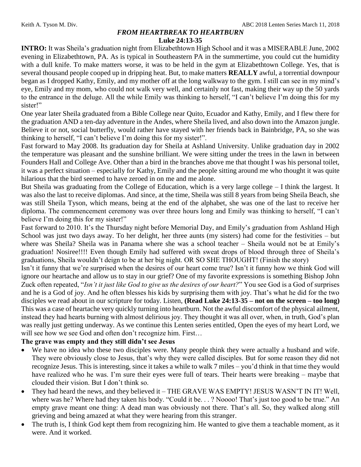## *FROM HEARTBREAK TO HEARTBURN*

#### **Luke 24:13-35**

**INTRO:** It was Sheila's graduation night from Elizabethtown High School and it was a MISERABLE June, 2002 evening in Elizabethtown, PA. As is typical in Southeastern PA in the summertime, you could cut the humidity with a dull knife. To make matters worse, it was to be held in the gym at Elizabethtown College. Yes, that is several thousand people cooped up in dripping heat. But, to make matters **REALLY** awful, a torrential downpour began as I dropped Kathy, Emily, and my mother off at the long walkway to the gym. I still can see in my mind's eye, Emily and my mom, who could not walk very well, and certainly not fast, making their way up the 50 yards to the entrance in the deluge. All the while Emily was thinking to herself, "I can't believe I'm doing this for my sister!"

One year later Sheila graduated from a Bible College near Quito, Ecuador and Kathy, Emily, and I flew there for the graduation AND a ten-day adventure in the Andes, where Sheila lived, and also down into the Amazon jungle. Believe it or not, social butterfly, would rather have stayed with her friends back in Bainbridge, PA, so she was thinking to herself, "I can't believe I'm doing this for my sister!".

Fast forward to May 2008. Its graduation day for Sheila at Ashland University. Unlike graduation day in 2002 the temperature was pleasant and the sunshine brilliant. We were sitting under the trees in the lawn in between Founders Hall and College Ave. Other than a bird in the branches above me that thought I was his personal toilet, it was a perfect situation – especially for Kathy, Emily and the people sitting around me who thought it was quite hilarious that the bird seemed to have zeroed in on me and me alone.

But Sheila was graduating from the College of Education, which is a very large college – I think the largest. It was also the last to receive diplomas. And since, at the time, Sheila was still 8 years from being Sheila Beach, she was still Sheila Tyson, which means, being at the end of the alphabet, she was one of the last to receive her diploma. The commencement ceremony was over three hours long and Emily was thinking to herself, "I can't believe I'm doing this for my sister!"

Fast forward to 2010. It's the Thursday night before Memorial Day, and Emily's graduation from Ashland High School was just two days away. To her delight, her three aunts (my sisters) had come for the festivities – but where was Sheila? Sheila was in Panama where she was a school teacher – Sheila would not be at Emily's graduation! Nosiree!!!! Even though Emily had suffered with sweat drops of blood through three of Sheila's graduations, Sheila wouldn't deign to be at her big night. OR SO SHE THOUGHT! (Finish the story)

Isn't it funny that we're surprised when the desires of our heart come true? Isn't it funny how we think God will ignore our heartache and allow us to stay in our grief? One of my favorite expressions is something Bishop John Zuck often repeated, "*Isn't it just like God to give us the desires of our heart?*" You see God is a God of surprises and he is a God of joy. And he often blesses his kids by surprising them with joy. That's what he did for the two disciples we read about in our scripture for today. Listen, **(Read Luke 24:13-35 – not on the screen – too long)** This was a case of heartache very quickly turning into heartburn. Not the awful discomfort of the physical ailment, instead they had hearts burning with almost delirious joy. They thought it was all over, when, in truth, God's plan was really just getting underway. As we continue this Lenten series entitled, Open the eyes of my heart Lord, we will see how we see God and often don't recognize him. First…

### **The grave was empty and they still didn't see Jesus**

- We have no idea who these two disciples were. Many people think they were actually a husband and wife. They were obviously close to Jesus, that's why they were called disciples. But for some reason they did not recognize Jesus. This is interesting, since it takes a while to walk 7 miles – you'd think in that time they would have realized who he was. I'm sure their eyes were full of tears. Their hearts were breaking – maybe that clouded their vision. But I don't think so.
- They had heard the news, and they believed it THE GRAVE WAS EMPTY! JESUS WASN'T IN IT! Well, where was he? Where had they taken his body. "Could it be. . . ? Noooo! That's just too good to be true." An empty grave meant one thing: A dead man was obviously not there. That's all. So, they walked along still grieving and being amazed at what they were hearing from this stranger.
- The truth is, I think God kept them from recognizing him. He wanted to give them a teachable moment, as it were. And it worked.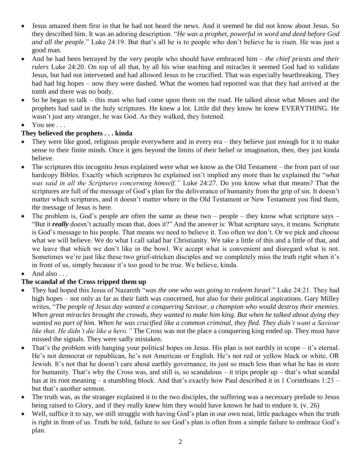- Jesus amazed them first in that he had not heard the news. And it seemed he did not know about Jesus. So they described him. It was an adoring description. "*He was a prophet, powerful in word and deed before God and all the people*." Luke 24:19. But that's all he is to people who don't believe he is risen. He was just a good man.
- And he had been betrayed by the very people who should have embraced him *the chief priests and their rulers* Luke 24:20. On top of all that, by all his wise teaching and miracles it seemed God had to validate Jesus, but had not intervened and had allowed Jesus to be crucified. That was especially heartbreaking. They had had big hopes – now they were dashed. What the women had reported was that they had arrived at the tomb and there was no body.
- So he began to talk this man who had come upon them on the road. He talked about what Moses and the prophets had said in the holy scriptures. He knew a lot. Little did they know he knew EVERYTHING. He wasn't just any stranger, he was God. As they walked, they listened.
- You see . . .

## **They believed the prophets . . . kinda**

- They were like good, religious people everywhere and in every era they believe just enough for it to make sense to their finite minds. Once it gets beyond the limits of their belief or imagination, then, they just kinda believe.
- The scriptures this incognito Jesus explained were what we know as the Old Testament the front part of our hardcopy Bibles. Exactly which scriptures he explained isn't implied any more than he explained the "*what was said in all the Scriptures concerning himself."* Luke 24:27. Do you know what that means? That the scriptures are full of the message of God's plan for the deliverance of humanity from the grip of sin. It doesn't matter which scriptures, and it doesn't matter where in the Old Testament or New Testament you find them, the message of Jesus is here.
- The problem is, God's people are often the same as these two people they know what scripture says "But it *really* doesn't actually mean that, does it?" And the answer is: What scripture says, it means. Scripture is God's message to his people. That means we need to believe it. Too often we don't. Or we pick and choose what we will believe. We do what I call salad bar Christianity. We take a little of this and a little of that, and we leave that which we don't like in the bowl. We accept what is convenient and disregard what is not. Sometimes we're just like these two grief-stricken disciples and we completely miss the truth right when it's in front of us, simply because it's too good to be true. We believe, kinda.
- And also . . .

# **The scandal of the Cross tripped them up**

- They had hoped this Jesus of Nazareth "*was the one who was going to redeem Israel*." Luke 24:21. They had high hopes – not only as far as their faith was concerned, but also for their political aspirations. Gary Milley writes, "*The people of Jesus day wanted a conquering Saviour, a champion who would destroy their enemies. When great miracles brought the crowds, they wanted to make him king. But when he talked about dying they wanted no part of him. When he was crucified like a common criminal, they fled. They didn't want a Saviour like that. He didn't die like a hero."* The Cross was not the place a conquering king ended up. They must have missed the signals. They were sadly mistaken.
- That's the problem with hanging your political hopes on Jesus. His plan is not earthly in scope it's eternal. He's not democrat or republican, he's not American or English. He's not red or yellow black or white, OR Jewish. It's not that he doesn't care about earthly governance, its just so much less than what he has in store for humanity. That's why the Cross was, and still is, so scandalous – it trips people up – that's what scandal has at its root meaning – a stumbling block. And that's exactly how Paul described it in 1 Corinthians 1:23 – but that's another sermon.
- The truth was, as the stranger explained it to the two disciples, the suffering was a necessary prelude to Jesus being raised to Glory, and if they really knew him they would have known he had to endure it. (v. 26)
- Well, suffice it to say, we still struggle with having God's plan in our own neat, little packages when the truth is right in front of us. Truth be told, failure to see God's plan is often from a simple failure to embrace God's plan.